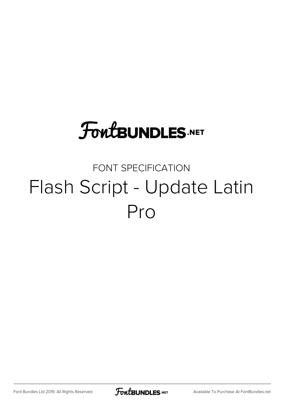## **FoutBUNDLES.NET**

## FONT SPECIFICATION Flash Script - Update Latin Pro

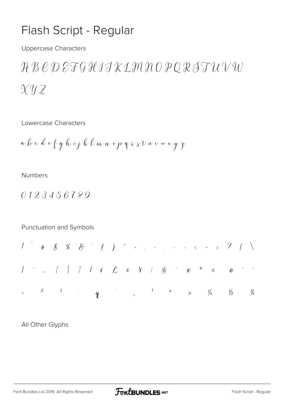## Flash Script - Regular

**Uppercase Characters** 

ABCDEFGHIJKLMNOPQRSTUVW  $Xyz$ 

Lowercase Characters

**Numbers** 

0123456789

Punctuation and Symbols

All Other Glyphs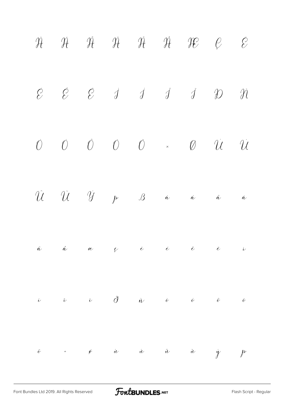